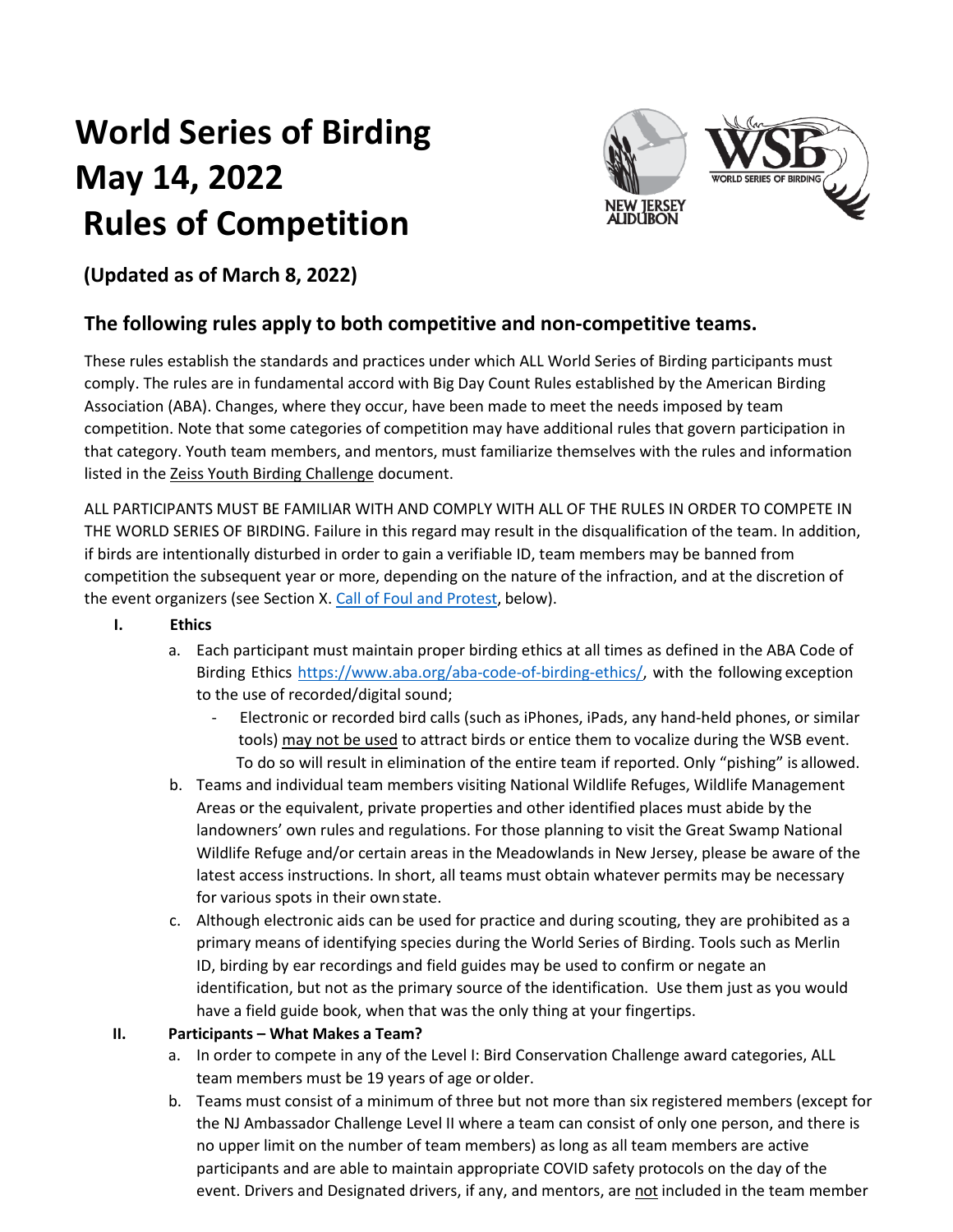# **World Series of Birding May 14, 2022 Rules of Competition**



# **(Updated as of March 8, 2022)**

# **The following rules apply to both competitive and non-competitive teams.**

These rules establish the standards and practices under which ALL World Series of Birding participants must comply. The rules are in fundamental accord with Big Day Count Rules established by the American Birding Association (ABA). Changes, where they occur, have been made to meet the needs imposed by team competition. Note that some categories of competition may have additional rules that govern participation in that category. Youth team members, and mentors, must familiarize themselves with the rules and information listed in the Zeiss Youth Birding Challenge document.

ALL PARTICIPANTS MUST BE FAMILIAR WITH AND COMPLY WITH ALL OF THE RULES IN ORDER TO COMPETE IN THE WORLD SERIES OF BIRDING. Failure in this regard may result in the disqualification of the team. In addition, if birds are intentionally disturbed in order to gain a verifiable ID, team members may be banned from competition the subsequent year or more, depending on the nature of the infraction, and at the discretion of the event organizers (see Section X. Call of Foul and Protest, below).

### **I. Ethics**

- a. Each participant must maintain proper birding ethics at all times as defined in the ABA Code of Birding Ethics [https://www.aba.org/aba-code-of-birding-ethics/, w](https://www.aba.org/aba-code-of-birding-ethics/)ith the following exception to the use of recorded/digital sound;
	- Electronic or recorded bird calls (such as iPhones, iPads, any hand-held phones, or similar tools) may not be used to attract birds or entice them to vocalize during the WSB event. To do so will result in elimination of the entire team if reported. Only "pishing" is allowed.
- b. Teams and individual team members visiting National Wildlife Refuges, Wildlife Management Areas or the equivalent, private properties and other identified places must abide by the landowners' own rules and regulations. For those planning to visit the Great Swamp National Wildlife Refuge and/or certain areas in the Meadowlands in New Jersey, please be aware of the latest access instructions. In short, all teams must obtain whatever permits may be necessary for various spots in their ownstate.
- c. Although electronic aids can be used for practice and during scouting, they are prohibited as a primary means of identifying species during the World Series of Birding. Tools such as Merlin ID, birding by ear recordings and field guides may be used to confirm or negate an identification, but not as the primary source of the identification. Use them just as you would have a field guide book, when that was the only thing at your fingertips.

#### **II. Participants – What Makes a Team?**

- a. In order to compete in any of the Level I: Bird Conservation Challenge award categories, ALL team members must be 19 years of age or older.
- b. Teams must consist of a minimum of three but not more than six registered members (except for the NJ Ambassador Challenge Level II where a team can consist of only one person, and there is no upper limit on the number of team members) as long as all team members are active participants and are able to maintain appropriate COVID safety protocols on the day of the event. Drivers and Designated drivers, if any, and mentors, are not included in the team member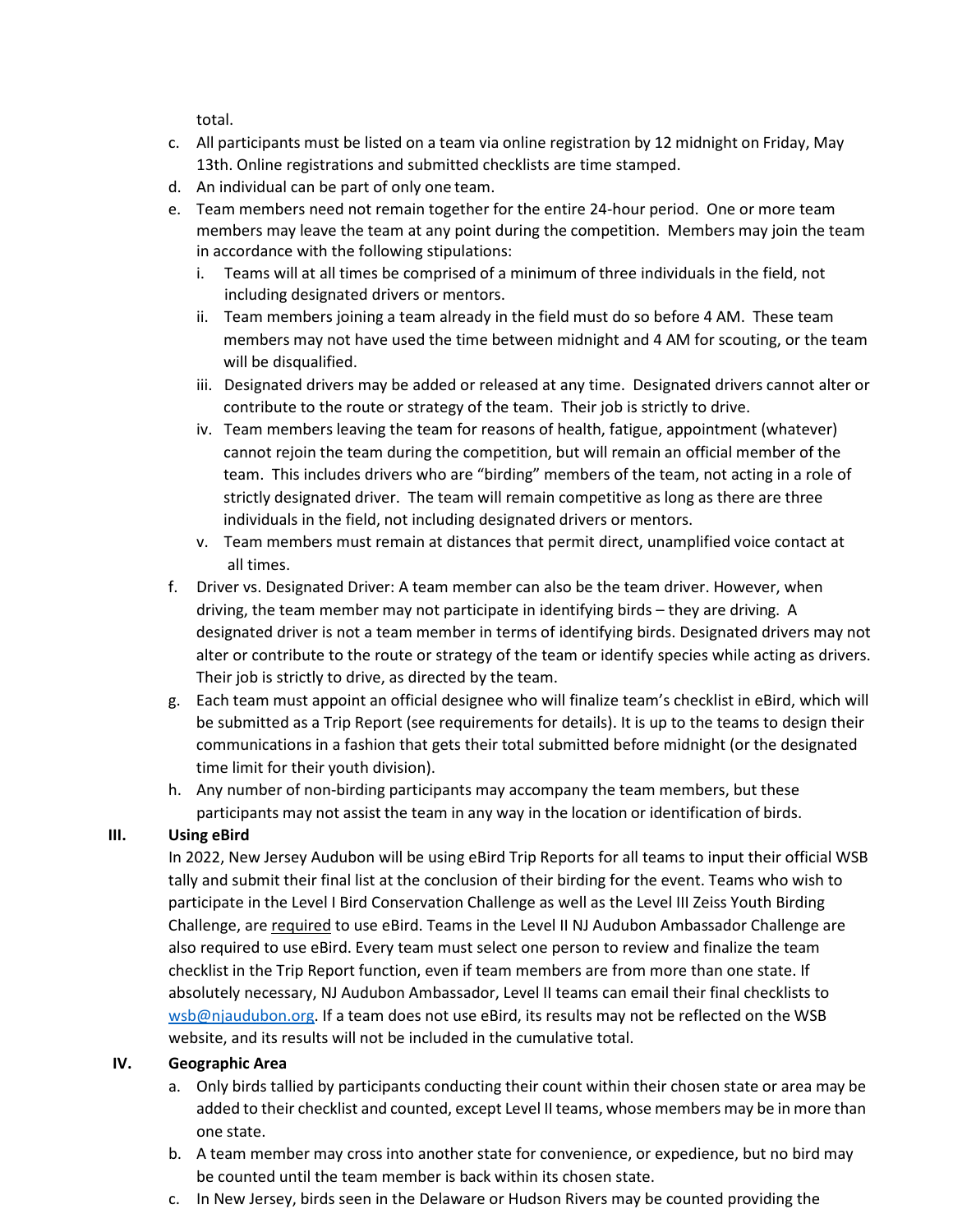total.

- c. All participants must be listed on a team via online registration by 12 midnight on Friday, May 13th. Online registrations and submitted checklists are time stamped.
- d. An individual can be part of only one team.
- e. Team members need not remain together for the entire 24-hour period. One or more team members may leave the team at any point during the competition. Members may join the team in accordance with the following stipulations:
	- i. Teams will at all times be comprised of a minimum of three individuals in the field, not including designated drivers or mentors.
	- ii. Team members joining a team already in the field must do so before 4 AM. These team members may not have used the time between midnight and 4 AM for scouting, or the team will be disqualified.
	- iii. Designated drivers may be added or released at any time. Designated drivers cannot alter or contribute to the route or strategy of the team. Their job is strictly to drive.
	- iv. Team members leaving the team for reasons of health, fatigue, appointment (whatever) cannot rejoin the team during the competition, but will remain an official member of the team. This includes drivers who are "birding" members of the team, not acting in a role of strictly designated driver. The team will remain competitive as long as there are three individuals in the field, not including designated drivers or mentors.
	- v. Team members must remain at distances that permit direct, unamplified voice contact at all times.
- f. Driver vs. Designated Driver: A team member can also be the team driver. However, when driving, the team member may not participate in identifying birds – they are driving. A designated driver is not a team member in terms of identifying birds. Designated drivers may not alter or contribute to the route or strategy of the team or identify species while acting as drivers. Their job is strictly to drive, as directed by the team.
- g. Each team must appoint an official designee who will finalize team's checklist in eBird, which will be submitted as a Trip Report (see requirements for details). It is up to the teams to design their communications in a fashion that gets their total submitted before midnight (or the designated time limit for their youth division).
- h. Any number of non-birding participants may accompany the team members, but these participants may not assist the team in any way in the location or identification of birds.

#### **III. Using eBird**

In 2022, New Jersey Audubon will be using eBird Trip Reports for all teams to input their official WSB tally and submit their final list at the conclusion of their birding for the event. Teams who wish to participate in the Level I Bird Conservation Challenge as well as the Level III Zeiss Youth Birding Challenge, are required to use eBird. Teams in the Level II NJ Audubon Ambassador Challenge are also required to use eBird. Every team must select one person to review and finalize the team checklist in the Trip Report function, even if team members are from more than one state. If absolutely necessary, NJ Audubon Ambassador, Level II teams can email their final checklists to [wsb@njaudubon.org.](mailto:wsb@njaudubon.org) If a team does not use eBird, its results may not be reflected on the WSB website, and its results will not be included in the cumulative total.

#### **IV. Geographic Area**

- a. Only birds tallied by participants conducting their count within their chosen state or area may be added to their checklist and counted, except Level II teams, whose members may be in more than one state.
- b. A team member may cross into another state for convenience, or expedience, but no bird may be counted until the team member is back within its chosen state.
- c. In New Jersey, birds seen in the Delaware or Hudson Rivers may be counted providing the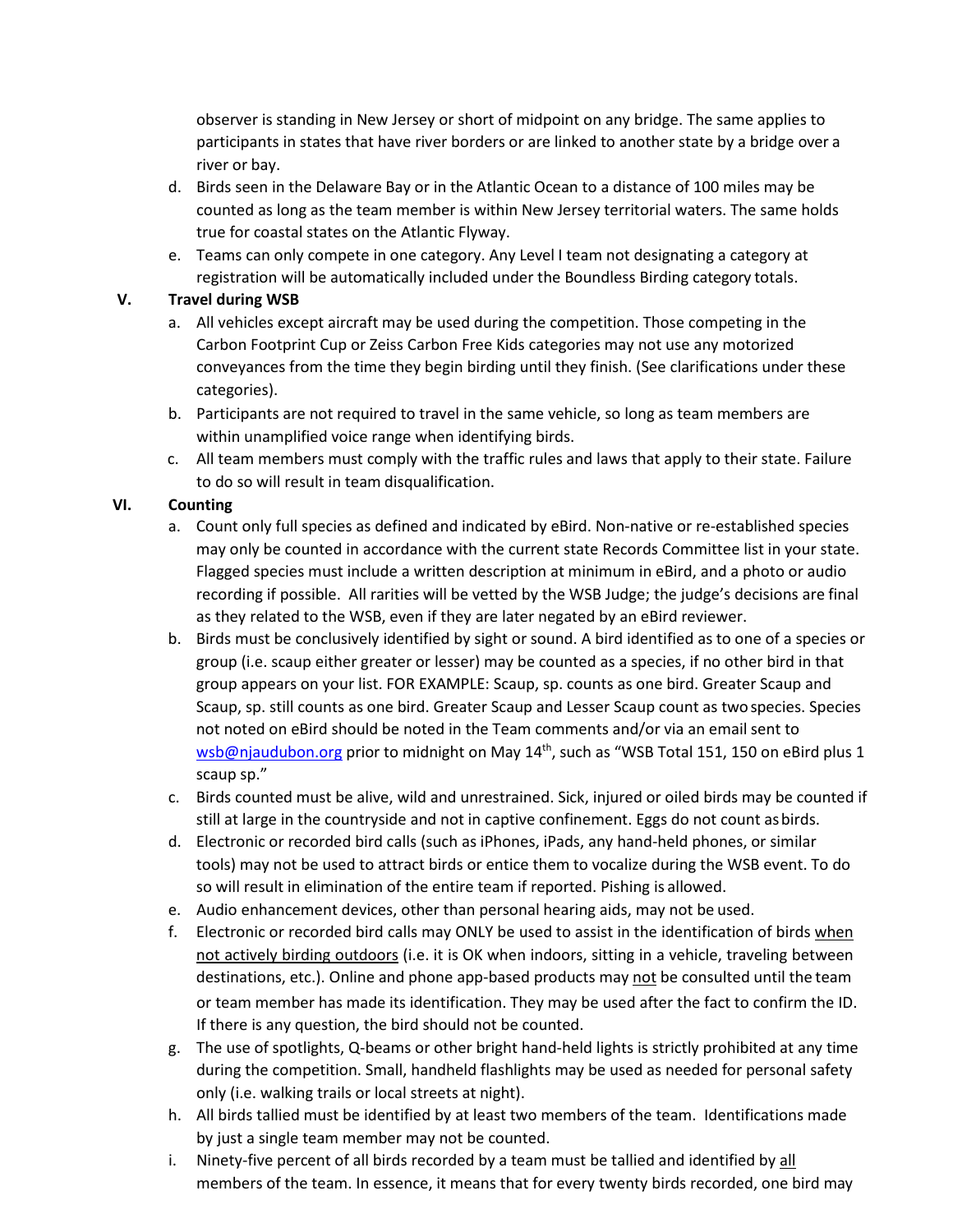observer is standing in New Jersey or short of midpoint on any bridge. The same applies to participants in states that have river borders or are linked to another state by a bridge over a river or bay.

- d. Birds seen in the Delaware Bay or in the Atlantic Ocean to a distance of 100 miles may be counted as long as the team member is within New Jersey territorial waters. The same holds true for coastal states on the Atlantic Flyway.
- e. Teams can only compete in one category. Any Level I team not designating a category at registration will be automatically included under the Boundless Birding category totals.

#### **V. Travel during WSB**

- a. All vehicles except aircraft may be used during the competition. Those competing in the Carbon Footprint Cup or Zeiss Carbon Free Kids categories may not use any motorized conveyances from the time they begin birding until they finish. (See clarifications under these categories).
- b. Participants are not required to travel in the same vehicle, so long as team members are within unamplified voice range when identifying birds.
- c. All team members must comply with the traffic rules and laws that apply to their state. Failure to do so will result in team disqualification.

## **VI. Counting**

- a. Count only full species as defined and indicated by eBird. Non-native or re-established species may only be counted in accordance with the current state Records Committee list in your state. Flagged species must include a written description at minimum in eBird, and a photo or audio recording if possible. All rarities will be vetted by the WSB Judge; the judge's decisions are final as they related to the WSB, even if they are later negated by an eBird reviewer.
- b. Birds must be conclusively identified by sight or sound. A bird identified as to one of a species or group (i.e. scaup either greater or lesser) may be counted as a species, if no other bird in that group appears on your list. FOR EXAMPLE: Scaup, sp. counts as one bird. Greater Scaup and Scaup, sp. still counts as one bird. Greater Scaup and Lesser Scaup count as twospecies. Species not noted on eBird should be noted in the Team comments and/or via an email sent to [wsb@njaudubon.org](mailto:wsb@njaudubon.org) prior to midnight on May 14<sup>th</sup>, such as "WSB Total 151, 150 on eBird plus 1 scaup sp."
- c. Birds counted must be alive, wild and unrestrained. Sick, injured or oiled birds may be counted if still at large in the countryside and not in captive confinement. Eggs do not count asbirds.
- d. Electronic or recorded bird calls (such as iPhones, iPads, any hand-held phones, or similar tools) may not be used to attract birds or entice them to vocalize during the WSB event. To do so will result in elimination of the entire team if reported. Pishing is allowed.
- e. Audio enhancement devices, other than personal hearing aids, may not be used.
- f. Electronic or recorded bird calls may ONLY be used to assist in the identification of birds when not actively birding outdoors (i.e. it is OK when indoors, sitting in a vehicle, traveling between destinations, etc.). Online and phone app-based products may not be consulted until the team or team member has made its identification. They may be used after the fact to confirm the ID. If there is any question, the bird should not be counted.
- g. The use of spotlights, Q-beams or other bright hand-held lights is strictly prohibited at any time during the competition. Small, handheld flashlights may be used as needed for personal safety only (i.e. walking trails or local streets at night).
- h. All birds tallied must be identified by at least two members of the team. Identifications made by just a single team member may not be counted.
- i. Ninety-five percent of all birds recorded by a team must be tallied and identified by all members of the team. In essence, it means that for every twenty birds recorded, one bird may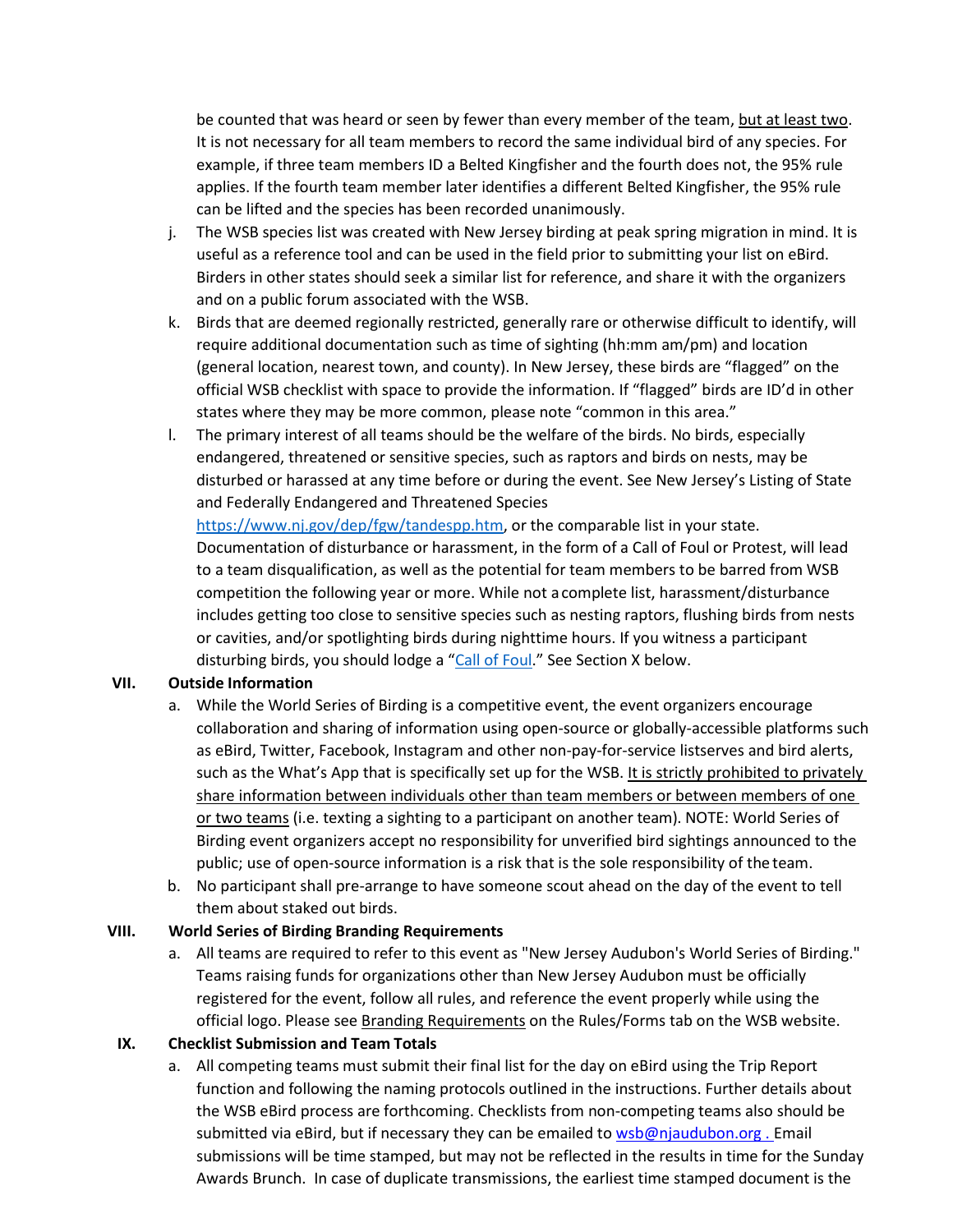be counted that was heard or seen by fewer than every member of the team, but at least two. It is not necessary for all team members to record the same individual bird of any species. For example, if three team members ID a Belted Kingfisher and the fourth does not, the 95% rule applies. If the fourth team member later identifies a different Belted Kingfisher, the 95% rule can be lifted and the species has been recorded unanimously.

- j. The WSB species list was created with New Jersey birding at peak spring migration in mind. It is useful as a reference tool and can be used in the field prior to submitting your list on eBird. Birders in other states should seek a similar list for reference, and share it with the organizers and on a public forum associated with the WSB.
- k. Birds that are deemed regionally restricted, generally rare or otherwise difficult to identify, will require additional documentation such as time of sighting (hh:mm am/pm) and location (general location, nearest town, and county). In New Jersey, these birds are "flagged" on the official WSB checklist with space to provide the information. If "flagged" birds are ID'd in other states where they may be more common, please note "common in this area."
- l. The primary interest of all teams should be the welfare of the birds. No birds, especially endangered, threatened or sensitive species, such as raptors and birds on nests, may be disturbed or harassed at any time before or during the event. See New Jersey's Listing of State and Federally Endangered and Threatened Species

[https://www.nj.gov/dep/fgw/tandespp.htm,](https://www.nj.gov/dep/fgw/tandespp.htm) or the comparable list in your state. Documentation of disturbance or harassment, in the form of a Call of Foul or Protest, will lead to a team disqualification, as well as the potential for team members to be barred from WSB competition the following year or more. While not a complete list, harassment/disturbance includes getting too close to sensitive species such as nesting raptors, flushing birds from nests or cavities, and/or spotlighting birds during nighttime hours. If you witness a participant disturbing birds, you should lodge a ["Call of Foul.](#page-4-0)" See Section X below.

#### **VII. Outside Information**

- a. While the World Series of Birding is a competitive event, the event organizers encourage collaboration and sharing of information using open-source or globally-accessible platforms such as eBird, Twitter, Facebook, Instagram and other non-pay-for-service listserves and bird alerts, such as the What's App that is specifically set up for the WSB. It is strictly prohibited to privately share information between individuals other than team members or between members of one or two teams (i.e. texting a sighting to a participant on another team). NOTE: World Series of Birding event organizers accept no responsibility for unverified bird sightings announced to the public; use of open-source information is a risk that is the sole responsibility of the team.
- b. No participant shall pre-arrange to have someone scout ahead on the day of the event to tell them about staked out birds.

#### **VIII. World Series of Birding Branding Requirements**

a. All teams are required to refer to this event as "New Jersey Audubon's World Series of Birding." Teams raising funds for organizations other than New Jersey Audubon must be officially registered for the event, follow all rules, and reference the event properly while using the official logo. Please see Branding Requirements on the Rules/Forms tab on the WSB website.

#### **IX. Checklist Submission and Team Totals**

a. All competing teams must submit their final list for the day on eBird using the Trip Report function and following the naming protocols outlined in the instructions. Further details about the WSB eBird process are forthcoming. Checklists from non-competing teams also should be submitted via eBird, but if necessary they can be emailed to wsb@njaudubon.org. Email submissions will be time stamped, but may not be reflected in the results in time for the Sunday Awards Brunch. In case of duplicate transmissions, the earliest time stamped document is the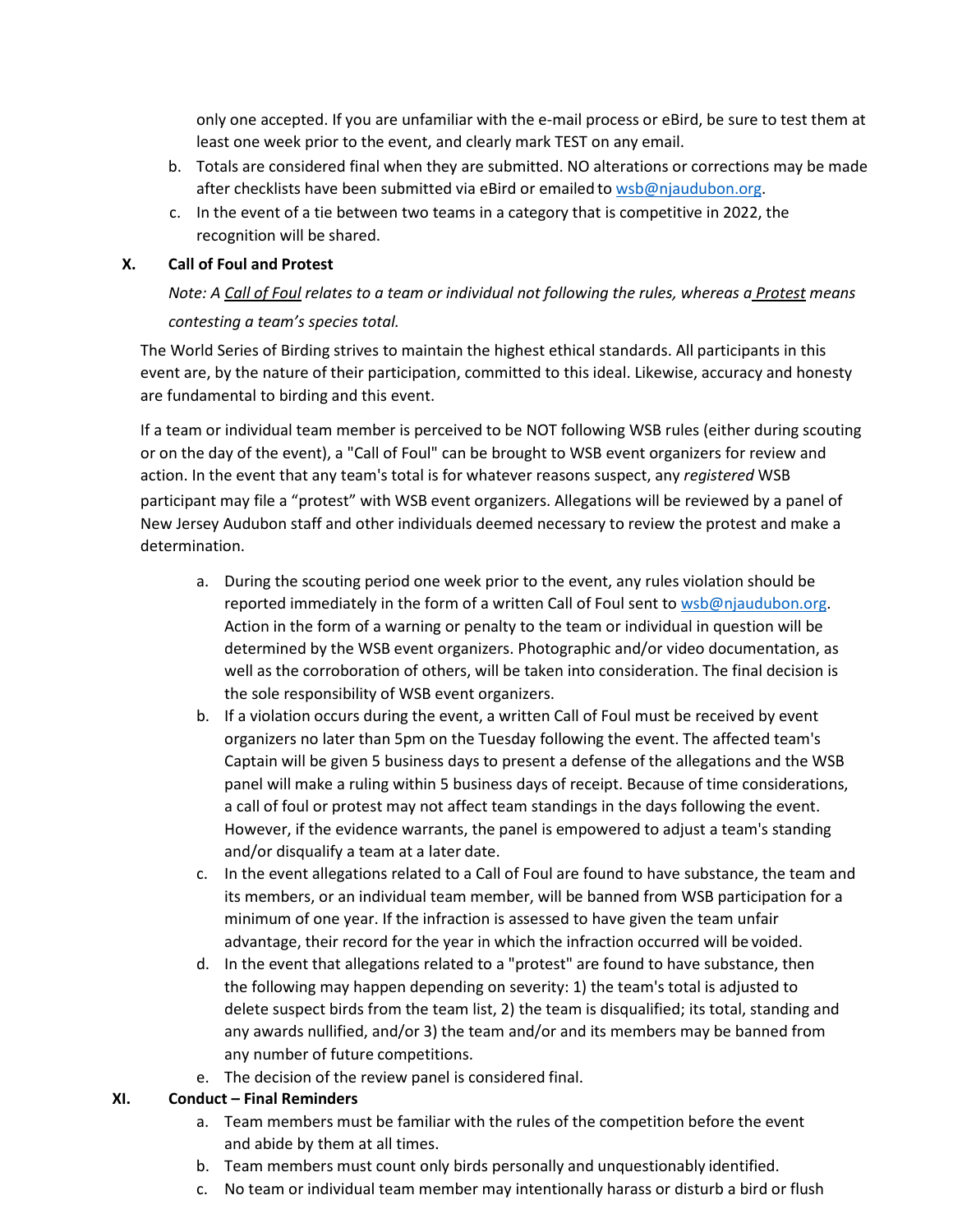only one accepted. If you are unfamiliar with the e-mail process or eBird, be sure to test them at least one week prior to the event, and clearly mark TEST on any email.

- b. Totals are considered final when they are submitted. NO alterations or corrections may be made after checklists have been submitted via eBird or emailed to [wsb@njaudubon.org.](mailto:wsb@njaudubon.org)
- c. In the event of a tie between two teams in a category that is competitive in 2022, the recognition will be shared.

#### <span id="page-4-0"></span>**X. Call of Foul and Protest**

## *Note: A Call of Foul relates to a team or individual not following the rules, whereas a Protest means contesting a team's species total.*

The World Series of Birding strives to maintain the highest ethical standards. All participants in this event are, by the nature of their participation, committed to this ideal. Likewise, accuracy and honesty are fundamental to birding and this event.

If a team or individual team member is perceived to be NOT following WSB rules (either during scouting or on the day of the event), a "Call of Foul" can be brought to WSB event organizers for review and action. In the event that any team's total is for whatever reasons suspect, any *registered* WSB participant may file a "protest" with WSB event organizers. Allegations will be reviewed by a panel of New Jersey Audubon staff and other individuals deemed necessary to review the protest and make a determination.

- a. During the scouting period one week prior to the event, any rules violation should be reported immediately in the form of a written Call of Foul sent to [wsb@njaudubon.org.](mailto:wsb@njaudubon.org) Action in the form of a warning or penalty to the team or individual in question will be determined by the WSB event organizers. Photographic and/or video documentation, as well as the corroboration of others, will be taken into consideration. The final decision is the sole responsibility of WSB event organizers.
- b. If a violation occurs during the event, a written Call of Foul must be received by event organizers no later than 5pm on the Tuesday following the event. The affected team's Captain will be given 5 business days to present a defense of the allegations and the WSB panel will make a ruling within 5 business days of receipt. Because of time considerations, a call of foul or protest may not affect team standings in the days following the event. However, if the evidence warrants, the panel is empowered to adjust a team's standing and/or disqualify a team at a later date.
- c. In the event allegations related to a Call of Foul are found to have substance, the team and its members, or an individual team member, will be banned from WSB participation for a minimum of one year. If the infraction is assessed to have given the team unfair advantage, their record for the year in which the infraction occurred will be voided.
- d. In the event that allegations related to a "protest" are found to have substance, then the following may happen depending on severity: 1) the team's total is adjusted to delete suspect birds from the team list, 2) the team is disqualified; its total, standing and any awards nullified, and/or 3) the team and/or and its members may be banned from any number of future competitions.
- e. The decision of the review panel is considered final.

#### **XI. Conduct – Final Reminders**

- a. Team members must be familiar with the rules of the competition before the event and abide by them at all times.
- b. Team members must count only birds personally and unquestionably identified.
- c. No team or individual team member may intentionally harass or disturb a bird or flush